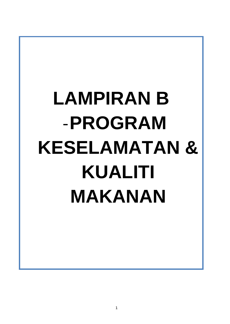# LAMPIRAN B -**PROGRAM KESELAMATAN & KUALITI MAKANAN**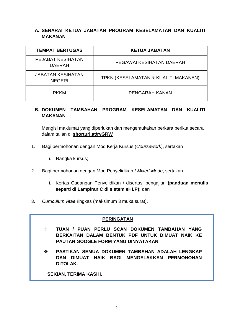# **A. SENARAI KETUA JABATAN PROGRAM KESELAMATAN DAN KUALITI MAKANAN**

| <b>TEMPAT BERTUGAS</b>                    | <b>KETUA JABATAN</b>                 |
|-------------------------------------------|--------------------------------------|
| <b>PEJABAT KESIHATAN</b><br><b>DAERAH</b> | PEGAWAI KESIHATAN DAERAH             |
| <b>JABATAN KESIHATAN</b><br><b>NEGERI</b> | TPKN (KESELAMATAN & KUALITI MAKANAN) |
| <b>PKKM</b>                               | PENGARAH KANAN                       |

## **B. DOKUMEN TAMBAHAN PROGRAM KESELAMATAN DAN KUALITI MAKANAN**

Mengisi maklumat yang diperlukan dan mengemukakan perkara berikut secara dalam talian di **shorturl.at/ryGRW**

- 1. Bagi permohonan dengan Mod Kerja Kursus (*Coursework*), sertakan
	- i. Rangka kursus:
- 2. Bagi permohonan dengan Mod Penyelidikan / *Mixed-Mode*, sertakan
	- i. Kertas Cadangan Penyelidikan / disertasi pengajian **(panduan menulis seperti di Lampiran C di sistem eHLP);** dan
- 3. *Curriculum vitae* ringkas (maksimum 3 muka surat).

## **PERINGATAN**

- **TUAN / PUAN PERLU SCAN DOKUMEN TAMBAHAN YANG BERKAITAN DALAM BENTUK PDF UNTUK DIMUAT NAIK KE PAUTAN GOOGLE FORM YANG DINYATAKAN.**
- **PASTIKAN SEMUA DOKUMEN TAMBAHAN ADALAH LENGKAP DAN DIMUAT NAIK BAGI MENGELAKKAN PERMOHONAN DITOLAK.**

**SEKIAN, TERIMA KASIH.**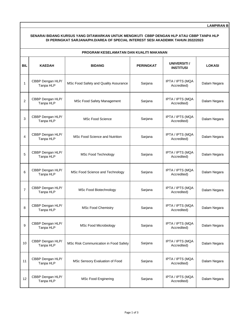**LAMPIRAN B**

## **SENARAI BIDANG KURSUS YANG DITAWARKAN UNTUK MENGIKUTI CBBP DENGAN HLP ATAU CBBP TANPA HLP DI PERINGKAT SARJANA/PH.D/AREA OF SPECIAL INTEREST SESI AKADEMIK TAHUN 2022/2023**

| PROGRAM KESELAMATAN DAN KUALITI MAKANAN |                               |                                       |                  |                                  |               |
|-----------------------------------------|-------------------------------|---------------------------------------|------------------|----------------------------------|---------------|
| <b>BIL</b>                              | <b>KAEDAH</b>                 | <b>BIDANG</b>                         | <b>PERINGKAT</b> | UNIVERSITI /<br><b>INSTITUSI</b> | <b>LOKASI</b> |
| 1                                       | CBBP Dengan HLP/<br>Tanpa HLP | MSc Food Safety and Quality Assurance | Sarjana          | IPTA / IPTS (MQA<br>Accredited)  | Dalam Negara  |
| $\overline{2}$                          | CBBP Dengan HLP/<br>Tanpa HLP | MSc Food Safety Management            | Sarjana          | IPTA / IPTS (MQA<br>Accredited)  | Dalam Negara  |
| 3                                       | CBBP Dengan HLP/<br>Tanpa HLP | <b>MSc Food Science</b>               | Sarjana          | IPTA / IPTS (MQA<br>Accredited)  | Dalam Negara  |
| 4                                       | CBBP Dengan HLP/<br>Tanpa HLP | MSc Food Science and Nutrition        | Sarjana          | IPTA / IPTS (MQA<br>Accredited)  | Dalam Negara  |
| 5                                       | CBBP Dengan HLP/<br>Tanpa HLP | MSc Food Technology                   | Sarjana          | IPTA / IPTS (MQA<br>Accredited)  | Dalam Negara  |
| 6                                       | CBBP Dengan HLP/<br>Tanpa HLP | MSc Food Science and Technology       | Sarjana          | IPTA / IPTS (MQA<br>Accredited)  | Dalam Negara  |
| $\overline{7}$                          | CBBP Dengan HLP/<br>Tanpa HLP | MSc Food Biotechnology                | Sarjana          | IPTA / IPTS (MQA<br>Accredited)  | Dalam Negara  |
| 8                                       | CBBP Dengan HLP/<br>Tanpa HLP | <b>MSc Food Chemistry</b>             | Sarjana          | IPTA / IPTS (MQA<br>Accredited)  | Dalam Negara  |
| 9                                       | CBBP Dengan HLP/<br>Tanpa HLP | <b>MSc Food Microbiology</b>          | Sarjana          | IPTA / IPTS (MQA<br>Accredited)  | Dalam Negara  |
| 10                                      | CBBP Dengan HLP/<br>Tanpa HLP | MSc Risk Communication in Food Safety | Sarjana          | IPTA / IPTS (MQA<br>Accredited)  | Dalam Negara  |
| 11                                      | CBBP Dengan HLP/<br>Tanpa HLP | MSc Sensory Evaluation of Food        | Sarjana          | IPTA / IPTS (MQA<br>Accredited)  | Dalam Negara  |
| 12                                      | CBBP Dengan HLP/<br>Tanpa HLP | <b>MSc Food Enginering</b>            | Sarjana          | IPTA / IPTS (MQA<br>Accredited)  | Dalam Negara  |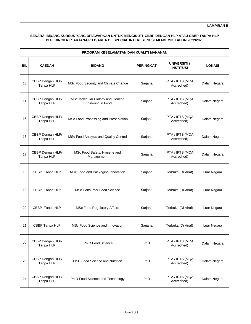**LAMPIRAN B**

## **SENARAI BIDANG KURSUS YANG DITAWARKAN UNTUK MENGIKUTI CBBP DENGAN HLP ATAU CBBP TANPA HLP DI PERINGKAT SARJANA/PH.D/AREA OF SPECIAL INTEREST SESI AKADEMIK TAHUN 2022/2023**

| PROGRAM KESELAMATAN DAN KUALITI MAKANAN |                               |                                                         |                  |                                  |               |
|-----------------------------------------|-------------------------------|---------------------------------------------------------|------------------|----------------------------------|---------------|
| <b>BIL</b>                              | <b>KAEDAH</b>                 | <b>BIDANG</b>                                           | <b>PERINGKAT</b> | UNIVERSITI /<br><b>INSTITUSI</b> | <b>LOKASI</b> |
| 13                                      | CBBP Dengan HLP/<br>Tanpa HLP | MSc Food Security and Climate Change                    | Sarjana          | IPTA / IPTS (MQA<br>Accredited)  | Dalam Negara  |
| 14                                      | CBBP Dengan HLP/<br>Tanpa HLP | MSc Molecular Biology and Genetic<br>Enginering in Food | Sarjana          | IPTA / IPTS (MQA<br>Accredited)  | Dalam Negara  |
| 15                                      | CBBP Dengan HLP/<br>Tanpa HLP | MSc Food Prosessing and Preservation                    | Sarjana          | IPTA / IPTS (MQA<br>Accredited)  | Dalam Negara  |
| 16                                      | CBBP Dengan HLP/<br>Tanpa HLP | MSc Food Analysis and Quality Control                   | Sarjana          | IPTA / IPTS (MQA<br>Accredited)  | Dalam Negara  |
| 17                                      | CBBP Dengan HLP/<br>Tanpa HLP | MSc Food Safety, Hygiene and<br>Management              | Sarjana          | IPTA / IPTS (MQA<br>Accredited)  | Dalam Negara  |
| 18                                      | CBBP Tanpa HLP                | MSc Food and Packaging Innovation                       | Sarjana          | Terbuka (Diiktiraf)              | Luar Negara   |
| 19                                      | CBBP Tanpa HLP                | MSc Consumer Food Science                               | Sarjana          | Terbuka (Diiktiraf)              | Luar Negara   |
| 20                                      | CBBP Tanpa HLP                | <b>MSc Food Regulatory Affairs</b>                      | Sarjana          | Terbuka (Diiktiraf)              | Luar Negara   |
| 21                                      | CBBP Tanpa HLP                | MSc Food Science and Innovation                         | Sarjana          | Terbuka (Diiktiraf)              | Luar Negara   |
| 22                                      | CBBP Dengan HLP/<br>Tanpa HLP | Ph.D Food Science                                       | PhD              | IPTA / IPTS (MQA<br>Accredited)  | Dalam Negara  |
| 23                                      | CBBP Dengan HLP/<br>Tanpa HLP | Ph.D Food Science and Nutrition                         | PhD              | IPTA / IPTS (MQA<br>Accredited)  | Dalam Negara  |
| 24                                      | CBBP Dengan HLP/<br>Tanpa HLP | Ph.D Food Science and Technology                        | PhD              | IPTA / IPTS (MQA<br>Accredited)  | Dalam Negara  |